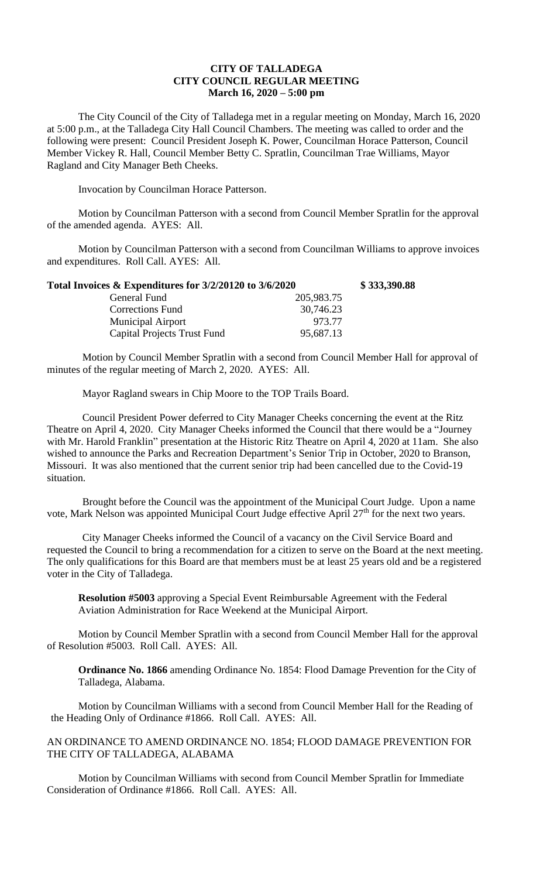## **CITY OF TALLADEGA CITY COUNCIL REGULAR MEETING March 16, 2020 – 5:00 pm**

The City Council of the City of Talladega met in a regular meeting on Monday, March 16, 2020 at 5:00 p.m., at the Talladega City Hall Council Chambers. The meeting was called to order and the following were present: Council President Joseph K. Power, Councilman Horace Patterson, Council Member Vickey R. Hall, Council Member Betty C. Spratlin, Councilman Trae Williams, Mayor Ragland and City Manager Beth Cheeks.

Invocation by Councilman Horace Patterson.

Motion by Councilman Patterson with a second from Council Member Spratlin for the approval of the amended agenda. AYES: All.

Motion by Councilman Patterson with a second from Councilman Williams to approve invoices and expenditures. Roll Call. AYES: All.

| Total Invoices & Expenditures for 3/2/20120 to 3/6/2020 |            | \$333,390.88 |
|---------------------------------------------------------|------------|--------------|
| General Fund                                            | 205,983.75 |              |
| <b>Corrections Fund</b>                                 | 30,746.23  |              |
| <b>Municipal Airport</b>                                | 973.77     |              |
| <b>Capital Projects Trust Fund</b>                      | 95,687.13  |              |

Motion by Council Member Spratlin with a second from Council Member Hall for approval of minutes of the regular meeting of March 2, 2020. AYES: All.

Mayor Ragland swears in Chip Moore to the TOP Trails Board.

Council President Power deferred to City Manager Cheeks concerning the event at the Ritz Theatre on April 4, 2020. City Manager Cheeks informed the Council that there would be a "Journey with Mr. Harold Franklin" presentation at the Historic Ritz Theatre on April 4, 2020 at 11am. She also wished to announce the Parks and Recreation Department's Senior Trip in October, 2020 to Branson, Missouri. It was also mentioned that the current senior trip had been cancelled due to the Covid-19 situation.

Brought before the Council was the appointment of the Municipal Court Judge. Upon a name vote, Mark Nelson was appointed Municipal Court Judge effective April 27<sup>th</sup> for the next two years.

City Manager Cheeks informed the Council of a vacancy on the Civil Service Board and requested the Council to bring a recommendation for a citizen to serve on the Board at the next meeting. The only qualifications for this Board are that members must be at least 25 years old and be a registered voter in the City of Talladega.

**Resolution #5003** approving a Special Event Reimbursable Agreement with the Federal Aviation Administration for Race Weekend at the Municipal Airport.

Motion by Council Member Spratlin with a second from Council Member Hall for the approval of Resolution #5003. Roll Call. AYES: All.

**Ordinance No. 1866** amending Ordinance No. 1854: Flood Damage Prevention for the City of Talladega, Alabama.

Motion by Councilman Williams with a second from Council Member Hall for the Reading of the Heading Only of Ordinance #1866. Roll Call. AYES: All.

AN ORDINANCE TO AMEND ORDINANCE NO. 1854; FLOOD DAMAGE PREVENTION FOR THE CITY OF TALLADEGA, ALABAMA

Motion by Councilman Williams with second from Council Member Spratlin for Immediate Consideration of Ordinance #1866. Roll Call. AYES: All.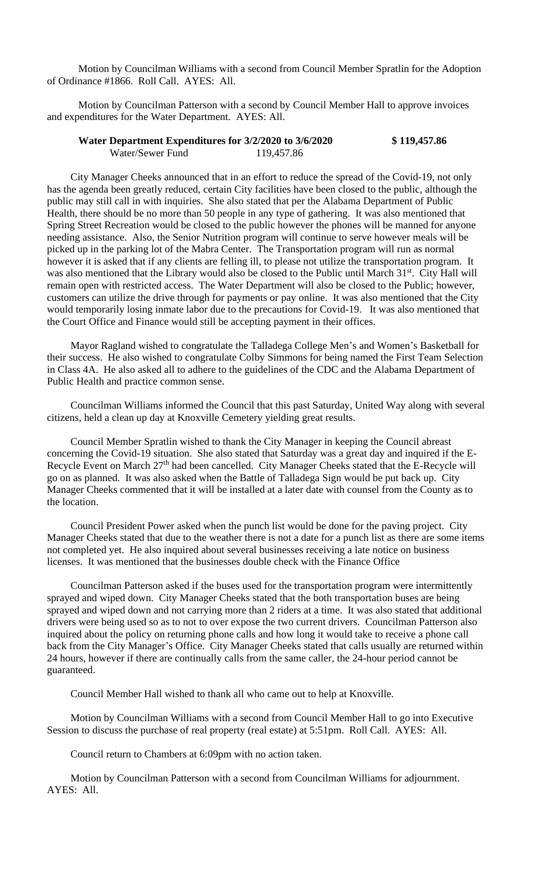Motion by Councilman Williams with a second from Council Member Spratlin for the Adoption of Ordinance #1866. Roll Call. AYES: All.

Motion by Councilman Patterson with a second by Council Member Hall to approve invoices and expenditures for the Water Department. AYES: All.

| Water Department Expenditures for 3/2/2020 to 3/6/2020 |            | \$119,457.86 |
|--------------------------------------------------------|------------|--------------|
| Water/Sewer Fund                                       | 119,457.86 |              |

City Manager Cheeks announced that in an effort to reduce the spread of the Covid-19, not only has the agenda been greatly reduced, certain City facilities have been closed to the public, although the public may still call in with inquiries. She also stated that per the Alabama Department of Public Health, there should be no more than 50 people in any type of gathering. It was also mentioned that Spring Street Recreation would be closed to the public however the phones will be manned for anyone needing assistance. Also, the Senior Nutrition program will continue to serve however meals will be picked up in the parking lot of the Mabra Center. The Transportation program will run as normal however it is asked that if any clients are felling ill, to please not utilize the transportation program. It was also mentioned that the Library would also be closed to the Public until March 31<sup>st</sup>. City Hall will remain open with restricted access. The Water Department will also be closed to the Public; however, customers can utilize the drive through for payments or pay online. It was also mentioned that the City would temporarily losing inmate labor due to the precautions for Covid-19. It was also mentioned that the Court Office and Finance would still be accepting payment in their offices.

Mayor Ragland wished to congratulate the Talladega College Men's and Women's Basketball for their success. He also wished to congratulate Colby Simmons for being named the First Team Selection in Class 4A. He also asked all to adhere to the guidelines of the CDC and the Alabama Department of Public Health and practice common sense.

Councilman Williams informed the Council that this past Saturday, United Way along with several citizens, held a clean up day at Knoxville Cemetery yielding great results.

Council Member Spratlin wished to thank the City Manager in keeping the Council abreast concerning the Covid-19 situation. She also stated that Saturday was a great day and inquired if the E-Recycle Event on March 27<sup>th</sup> had been cancelled. City Manager Cheeks stated that the E-Recycle will go on as planned. It was also asked when the Battle of Talladega Sign would be put back up. City Manager Cheeks commented that it will be installed at a later date with counsel from the County as to the location.

Council President Power asked when the punch list would be done for the paving project. City Manager Cheeks stated that due to the weather there is not a date for a punch list as there are some items not completed yet. He also inquired about several businesses receiving a late notice on business licenses. It was mentioned that the businesses double check with the Finance Office

Councilman Patterson asked if the buses used for the transportation program were intermittently sprayed and wiped down. City Manager Cheeks stated that the both transportation buses are being sprayed and wiped down and not carrying more than 2 riders at a time. It was also stated that additional drivers were being used so as to not to over expose the two current drivers. Councilman Patterson also inquired about the policy on returning phone calls and how long it would take to receive a phone call back from the City Manager's Office. City Manager Cheeks stated that calls usually are returned within 24 hours, however if there are continually calls from the same caller, the 24-hour period cannot be guaranteed.

Council Member Hall wished to thank all who came out to help at Knoxville.

Motion by Councilman Williams with a second from Council Member Hall to go into Executive Session to discuss the purchase of real property (real estate) at 5:51pm. Roll Call. AYES: All.

Council return to Chambers at 6:09pm with no action taken.

Motion by Councilman Patterson with a second from Councilman Williams for adjournment. AYES: All.